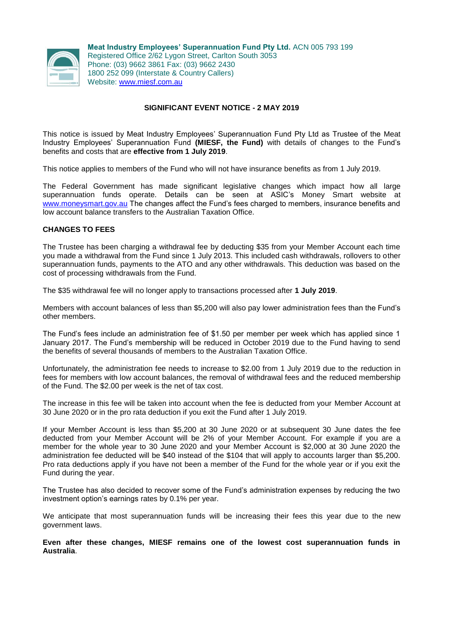

**Meat Industry Employees' Superannuation Fund Pty Ltd.** ACN 005 793 199 Registered Office 2/62 Lygon Street, Carlton South 3053 Phone: (03) 9662 3861 Fax: (03) 9662 2430 1800 252 099 (Interstate & Country Callers) Website: [www.miesf.com.au](http://www.miesf.com.au/)

## **SIGNIFICANT EVENT NOTICE - 2 MAY 2019**

This notice is issued by Meat Industry Employees' Superannuation Fund Pty Ltd as Trustee of the Meat Industry Employees' Superannuation Fund **(MIESF, the Fund)** with details of changes to the Fund's benefits and costs that are **effective from 1 July 2019**.

This notice applies to members of the Fund who will not have insurance benefits as from 1 July 2019.

The Federal Government has made significant legislative changes which impact how all large superannuation funds operate. Details can be seen at ASIC's Money Smart website at [www.moneysmart.gov.au](http://www.moneysmart.gov.au/) The changes affect the Fund's fees charged to members, insurance benefits and low account balance transfers to the Australian Taxation Office.

## **CHANGES TO FEES**

The Trustee has been charging a withdrawal fee by deducting \$35 from your Member Account each time you made a withdrawal from the Fund since 1 July 2013. This included cash withdrawals, rollovers to other superannuation funds, payments to the ATO and any other withdrawals. This deduction was based on the cost of processing withdrawals from the Fund.

The \$35 withdrawal fee will no longer apply to transactions processed after **1 July 2019**.

Members with account balances of less than \$5,200 will also pay lower administration fees than the Fund's other members.

The Fund's fees include an administration fee of \$1.50 per member per week which has applied since 1 January 2017. The Fund's membership will be reduced in October 2019 due to the Fund having to send the benefits of several thousands of members to the Australian Taxation Office.

Unfortunately, the administration fee needs to increase to \$2.00 from 1 July 2019 due to the reduction in fees for members with low account balances, the removal of withdrawal fees and the reduced membership of the Fund. The \$2.00 per week is the net of tax cost.

The increase in this fee will be taken into account when the fee is deducted from your Member Account at 30 June 2020 or in the pro rata deduction if you exit the Fund after 1 July 2019.

If your Member Account is less than \$5,200 at 30 June 2020 or at subsequent 30 June dates the fee deducted from your Member Account will be 2% of your Member Account. For example if you are a member for the whole year to 30 June 2020 and your Member Account is \$2,000 at 30 June 2020 the administration fee deducted will be \$40 instead of the \$104 that will apply to accounts larger than \$5,200. Pro rata deductions apply if you have not been a member of the Fund for the whole year or if you exit the Fund during the year.

The Trustee has also decided to recover some of the Fund's administration expenses by reducing the two investment option's earnings rates by 0.1% per year.

We anticipate that most superannuation funds will be increasing their fees this year due to the new government laws.

**Even after these changes, MIESF remains one of the lowest cost superannuation funds in Australia**.